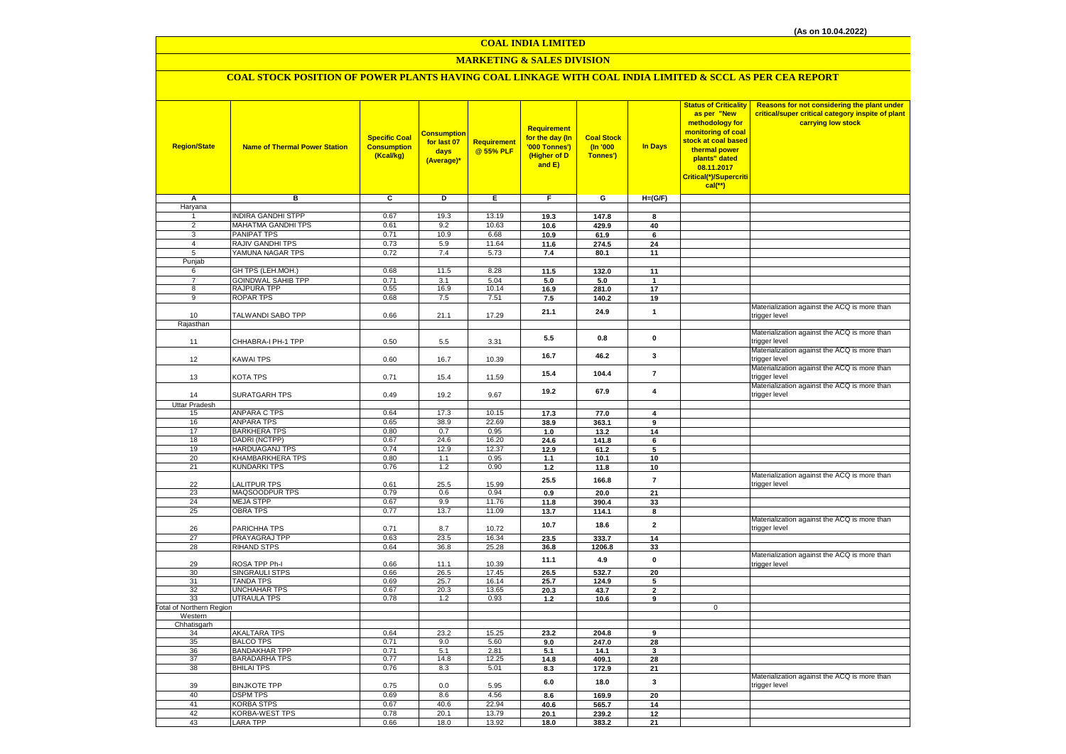# **MARKETING & SALES DIVISION**

## **COAL STOCK POSITION OF POWER PLANTS HAVING COAL LINKAGE WITH COAL INDIA LIMITED & SCCL AS PER CEA REPORT**

| <b>Region/State</b>              | <b>Name of Thermal Power Station</b>         | <b>Specific Coal</b><br><b>Consumption</b><br>(Kcal/kg) | <mark>Consumption</mark><br>for last 07<br>days<br>(Average)* | Requirement<br>@ 55% PLF | Requirement<br>for the day (In<br>'000 Tonnes')<br>(Higher of D<br>and E) | <b>Coal Stock</b><br>(n'000)<br>Tonnes') | In Days                 | <b>Status of Criticality</b><br>as per "New<br>methodology for<br>monitoring of coal<br>stock at coal based<br>thermal power<br>plants" dated<br>08.11.2017<br>Critical(*)/Supercriti<br>$cal$ (**) | Reasons for not considering the plant under<br>critical/super critical category inspite of plant<br>carrying low stock |
|----------------------------------|----------------------------------------------|---------------------------------------------------------|---------------------------------------------------------------|--------------------------|---------------------------------------------------------------------------|------------------------------------------|-------------------------|-----------------------------------------------------------------------------------------------------------------------------------------------------------------------------------------------------|------------------------------------------------------------------------------------------------------------------------|
| Α                                | в                                            | c                                                       | D                                                             | Е                        | F.                                                                        | G                                        | $H=(G/F)$               |                                                                                                                                                                                                     |                                                                                                                        |
| Haryana                          |                                              |                                                         |                                                               |                          |                                                                           |                                          |                         |                                                                                                                                                                                                     |                                                                                                                        |
| 1                                | <b>INDIRA GANDHI STPP</b>                    | 0.67                                                    | 19.3                                                          | 13.19                    | 19.3                                                                      | 147.8                                    | 8                       |                                                                                                                                                                                                     |                                                                                                                        |
| $\overline{2}$                   | MAHATMA GANDHI TPS                           | 0.61                                                    | 9.2                                                           | 10.63                    | 10.6                                                                      | 429.9                                    | 40                      |                                                                                                                                                                                                     |                                                                                                                        |
| $\overline{3}$<br>$\overline{4}$ | PANIPAT TPS<br>RAJIV GANDHI TPS              | 0.71<br>0.73                                            | 10.9<br>5.9                                                   | 6.68<br>11.64            | 10.9                                                                      | 61.9                                     | 6                       |                                                                                                                                                                                                     |                                                                                                                        |
| 5                                | YAMUNA NAGAR TPS                             | 0.72                                                    | 7.4                                                           | 5.73                     | 11.6                                                                      | 274.5<br>80.1                            | 24<br>11                |                                                                                                                                                                                                     |                                                                                                                        |
| Punjab                           |                                              |                                                         |                                                               |                          | 7.4                                                                       |                                          |                         |                                                                                                                                                                                                     |                                                                                                                        |
| 6                                | GH TPS (LEH.MOH.)                            | 0.68                                                    | 11.5                                                          | 8.28                     | 11.5                                                                      | 132.0                                    | 11                      |                                                                                                                                                                                                     |                                                                                                                        |
| $\overline{7}$                   | <b>GOINDWAL SAHIB TPP</b>                    | 0.71                                                    | 3.1                                                           | 5.04                     | 5.0                                                                       | 5.0                                      | $\overline{\mathbf{1}}$ |                                                                                                                                                                                                     |                                                                                                                        |
| 8                                | RAJPURA TPP                                  | 0.55                                                    | 16.9                                                          | 10.14                    | 16.9                                                                      | 281.0                                    | 17                      |                                                                                                                                                                                                     |                                                                                                                        |
| $\overline{9}$                   | <b>ROPAR TPS</b>                             | 0.68                                                    | 7.5                                                           | 7.51                     | 7.5                                                                       | 140.2                                    | 19                      |                                                                                                                                                                                                     |                                                                                                                        |
|                                  |                                              |                                                         |                                                               |                          | 21.1                                                                      | 24.9                                     | $\mathbf{1}$            |                                                                                                                                                                                                     | Materialization against the ACQ is more than                                                                           |
| 10                               | TALWANDI SABO TPP                            | 0.66                                                    | 21.1                                                          | 17.29                    |                                                                           |                                          |                         |                                                                                                                                                                                                     | trigger level                                                                                                          |
| Rajasthan                        |                                              |                                                         |                                                               |                          |                                                                           |                                          |                         |                                                                                                                                                                                                     | Materialization against the ACQ is more than                                                                           |
|                                  | CHHABRA-I PH-1 TPP                           | 0.50                                                    |                                                               |                          | 5.5                                                                       | 0.8                                      | $\mathbf 0$             |                                                                                                                                                                                                     | trigger level                                                                                                          |
| 11                               |                                              |                                                         | 5.5                                                           | 3.31                     |                                                                           |                                          |                         |                                                                                                                                                                                                     | Materialization against the ACQ is more than                                                                           |
| 12                               | KAWAI TPS                                    | 0.60                                                    | 16.7                                                          | 10.39                    | 16.7                                                                      | 46.2                                     | 3                       |                                                                                                                                                                                                     | trigger level                                                                                                          |
|                                  |                                              |                                                         |                                                               |                          |                                                                           |                                          |                         |                                                                                                                                                                                                     | Materialization against the ACQ is more than                                                                           |
| 13                               | KOTA TPS                                     | 0.71                                                    | 15.4                                                          | 11.59                    | 15.4                                                                      | 104.4                                    | $\overline{7}$          |                                                                                                                                                                                                     | trigger level                                                                                                          |
|                                  |                                              |                                                         |                                                               |                          | 19.2                                                                      | 67.9                                     | 4                       |                                                                                                                                                                                                     | Materialization against the ACQ is more than                                                                           |
| 14                               | <b>SURATGARH TPS</b>                         | 0.49                                                    | 19.2                                                          | 9.67                     |                                                                           |                                          |                         |                                                                                                                                                                                                     | trigger level                                                                                                          |
| <b>Uttar Pradesh</b>             |                                              |                                                         |                                                               |                          |                                                                           |                                          |                         |                                                                                                                                                                                                     |                                                                                                                        |
| 15                               | <b>ANPARA C TPS</b>                          | 0.64                                                    | 17.3                                                          | 10.15                    | 17.3                                                                      | 77.0                                     | 4                       |                                                                                                                                                                                                     |                                                                                                                        |
| 16<br>17                         | <b>ANPARA TPS</b><br><b>BARKHERA TPS</b>     | 0.65<br>0.80                                            | 38.9<br>0.7                                                   | 22.69<br>0.95            | 38.9                                                                      | 363.1                                    | 9                       |                                                                                                                                                                                                     |                                                                                                                        |
| 18                               | DADRI (NCTPP)                                | 0.67                                                    | 24.6                                                          | 16.20                    | 1.0<br>24.6                                                               | 13.2<br>141.8                            | 14<br>6                 |                                                                                                                                                                                                     |                                                                                                                        |
| 19                               | HARDUAGANJ TPS                               | 0.74                                                    | 12.9                                                          | 12.37                    | 12.9                                                                      | 61.2                                     | 5                       |                                                                                                                                                                                                     |                                                                                                                        |
| 20                               | KHAMBARKHERA TPS                             | 0.80                                                    | 1.1                                                           | 0.95                     | 1.1                                                                       | 10.1                                     | 10                      |                                                                                                                                                                                                     |                                                                                                                        |
| 21                               | <b>KUNDARKI TPS</b>                          | 0.76                                                    | 1.2                                                           | 0.90                     | $1.2$                                                                     | 11.8                                     | 10                      |                                                                                                                                                                                                     |                                                                                                                        |
|                                  |                                              |                                                         |                                                               |                          | 25.5                                                                      | 166.8                                    | $\overline{7}$          |                                                                                                                                                                                                     | Materialization against the ACQ is more than                                                                           |
| 22                               | <b>ALITPUR TPS</b>                           | 0.61                                                    | 25.5                                                          | 15.99                    |                                                                           |                                          |                         |                                                                                                                                                                                                     | trigger level                                                                                                          |
| 23                               | MAQSOODPUR TPS                               | 0.79                                                    | 0.6                                                           | 0.94                     | 0.9                                                                       | 20.0                                     | 21                      |                                                                                                                                                                                                     |                                                                                                                        |
| 24                               | <b>MEJA STPP</b>                             | 0.67<br>0.77                                            | 9.9                                                           | 11.76                    | 11.8                                                                      | 390.4                                    | 33                      |                                                                                                                                                                                                     |                                                                                                                        |
| 25                               | <b>OBRA TPS</b>                              |                                                         | 13.7                                                          | 11.09                    | 13.7                                                                      | 114.1                                    | 8                       |                                                                                                                                                                                                     | Materialization against the ACQ is more than                                                                           |
| 26                               | PARICHHA TPS                                 | 0.71                                                    | 8.7                                                           | 10.72                    | 10.7                                                                      | 18.6                                     | $\mathbf{2}$            |                                                                                                                                                                                                     | trigger level                                                                                                          |
| 27                               | PRAYAGRAJ TPP                                | 0.63                                                    | 23.5                                                          | 16.34                    | 23.5                                                                      | 333.7                                    | 14                      |                                                                                                                                                                                                     |                                                                                                                        |
| 28                               | <b>RIHAND STPS</b>                           | 0.64                                                    | 36.8                                                          | 25.28                    | 36.8                                                                      | 1206.8                                   | 33                      |                                                                                                                                                                                                     |                                                                                                                        |
|                                  |                                              |                                                         |                                                               |                          | 11.1                                                                      | 4.9                                      | $\mathbf 0$             |                                                                                                                                                                                                     | Materialization against the ACQ is more than                                                                           |
| 29                               | ROSA TPP Ph-I                                | 0.66                                                    | 11.1                                                          | 10.39                    |                                                                           |                                          |                         |                                                                                                                                                                                                     | trigger level                                                                                                          |
| 30                               | SINGRAULI STPS                               | 0.66                                                    | 26.5                                                          | 17.45                    | 26.5                                                                      | 532.7                                    | 20                      |                                                                                                                                                                                                     |                                                                                                                        |
| 31<br>32                         | <b>TANDA TPS</b><br>UNCHAHAR TPS             | 0.69<br>0.67                                            | 25.7<br>20.3                                                  | 16.14<br>13.65           | 25.7<br>20.3                                                              | 124.9<br>43.7                            | 5<br>$\mathbf{2}$       |                                                                                                                                                                                                     |                                                                                                                        |
| 33                               | <b>UTRAULA TPS</b>                           | 0.78                                                    | $1.2$                                                         | 0.93                     | $1.2$                                                                     | 10.6                                     | 9                       |                                                                                                                                                                                                     |                                                                                                                        |
| Total of Northern Region         |                                              |                                                         |                                                               |                          |                                                                           |                                          |                         | $\mathbf 0$                                                                                                                                                                                         |                                                                                                                        |
| Western                          |                                              |                                                         |                                                               |                          |                                                                           |                                          |                         |                                                                                                                                                                                                     |                                                                                                                        |
| Chhatisgarh                      |                                              |                                                         |                                                               |                          |                                                                           |                                          |                         |                                                                                                                                                                                                     |                                                                                                                        |
| 34                               | <b>AKALTARA TPS</b>                          | 0.64                                                    | 23.2                                                          | 15.25                    | 23.2                                                                      | 204.8                                    | 9                       |                                                                                                                                                                                                     |                                                                                                                        |
| 35                               | <b>BALCO TPS</b>                             | 0.71                                                    | 9.0                                                           | 5.60                     | 9.0                                                                       | 247.0                                    | 28                      |                                                                                                                                                                                                     |                                                                                                                        |
| 36<br>37                         | <b>BANDAKHAR TPP</b><br><b>BARADARHA TPS</b> | 0.71<br>0.77                                            | 5.1<br>14.8                                                   | 2.81<br>12.25            | 5.1<br>14.8                                                               | 14.1<br>409.1                            | 3<br>28                 |                                                                                                                                                                                                     |                                                                                                                        |
| 38                               | <b>BHILAI TPS</b>                            | 0.76                                                    | 8.3                                                           | 5.01                     | 8.3                                                                       | 172.9                                    | 21                      |                                                                                                                                                                                                     |                                                                                                                        |
|                                  |                                              |                                                         |                                                               |                          |                                                                           |                                          |                         |                                                                                                                                                                                                     | Materialization against the ACQ is more than                                                                           |
| 39                               | <b>BINJKOTE TPP</b>                          | 0.75                                                    | 0.0                                                           | 5.95                     | 6.0                                                                       | 18.0                                     | 3                       |                                                                                                                                                                                                     | trigger level                                                                                                          |
| 40                               | <b>DSPM TPS</b>                              | 0.69                                                    | 8.6                                                           | 4.56                     | 8.6                                                                       | 169.9                                    | 20                      |                                                                                                                                                                                                     |                                                                                                                        |
| 41                               | <b>KORBA STPS</b>                            | 0.67                                                    | 40.6                                                          | 22.94                    | 40.6                                                                      | 565.7                                    | 14                      |                                                                                                                                                                                                     |                                                                                                                        |
| 42                               | KORBA-WEST TPS                               | 0.78                                                    | 20.1                                                          | 13.79                    | 20.1                                                                      | 239.2                                    | 12                      |                                                                                                                                                                                                     |                                                                                                                        |
| 43                               | LARA TPP                                     | 0.66                                                    | 18.0                                                          | 13.92                    | 18.0                                                                      | 383.2                                    | 21                      |                                                                                                                                                                                                     |                                                                                                                        |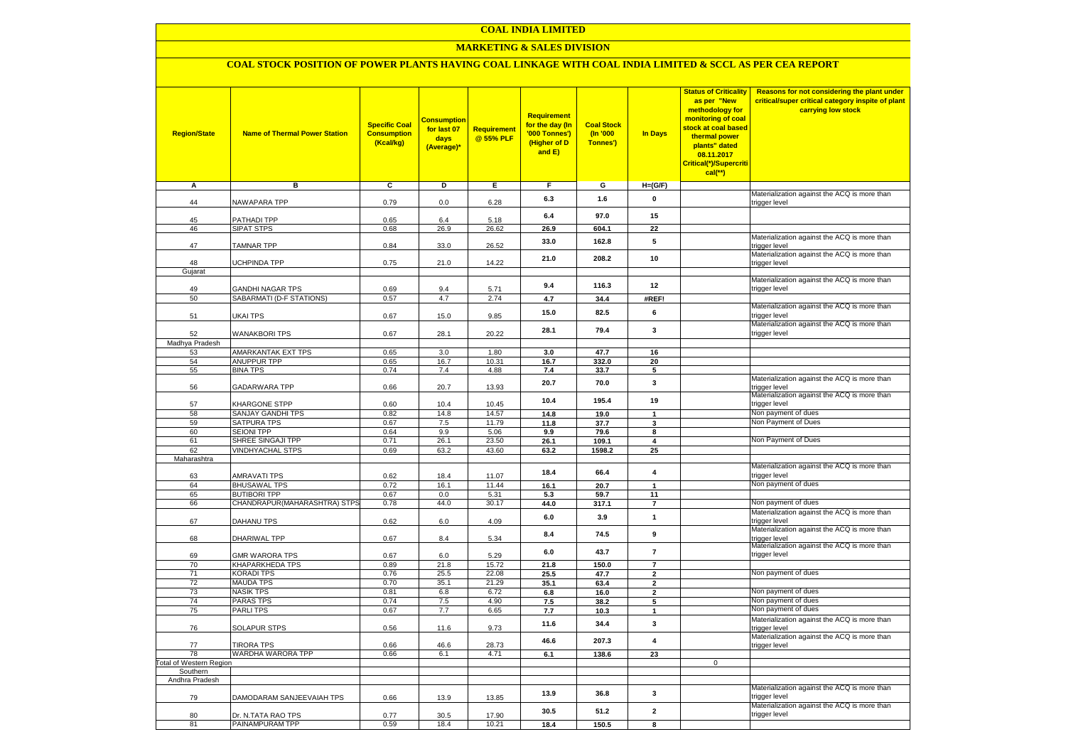### **MARKETING & SALES DIVISION**

### **COAL STOCK POSITION OF POWER PLANTS HAVING COAL LINKAGE WITH COAL INDIA LIMITED & SCCL AS PER CEA REPORT**

| <b>Region/State</b>          | <b>Name of Thermal Power Station</b>  | <b>Specific Coal</b><br><b>Consumption</b><br>(Kcal/kg) | <mark>Consumption</mark><br>for last 07<br>days<br>(Average)* | <b>Requirement</b><br>@ 55% PLF | <b>Requirement</b><br>for the day (In<br>'000 Tonnes')<br>(Higher of D<br>and E) | <b>Coal Stock</b><br>(In '000<br>Tonnes') | <b>In Days</b>          | <b>Status of Criticality</b><br>as per "New<br>methodology for<br>monitoring of coal<br>stock at coal based<br>thermal power<br>plants" dated<br>08.11.2017<br>Critical(*)/Supercriti<br>$cal$ (**) | Reasons for not considering the plant under<br>critical/super critical category inspite of plant<br>carrying low stock |
|------------------------------|---------------------------------------|---------------------------------------------------------|---------------------------------------------------------------|---------------------------------|----------------------------------------------------------------------------------|-------------------------------------------|-------------------------|-----------------------------------------------------------------------------------------------------------------------------------------------------------------------------------------------------|------------------------------------------------------------------------------------------------------------------------|
| Α                            | в                                     | c                                                       | Þ                                                             | Е                               | F                                                                                | G                                         | $H=(G/F)$               |                                                                                                                                                                                                     |                                                                                                                        |
| 44                           | <b>NAWAPARA TPP</b>                   | 0.79                                                    | 0.0                                                           | 6.28                            | 6.3                                                                              | 1.6                                       | 0                       |                                                                                                                                                                                                     | Materialization against the ACQ is more than<br>trigger level                                                          |
|                              |                                       |                                                         |                                                               |                                 |                                                                                  |                                           |                         |                                                                                                                                                                                                     |                                                                                                                        |
| 45                           | <b>PATHADI TPP</b>                    | 0.65                                                    | 6.4                                                           | 5.18                            | 6.4                                                                              | 97.0                                      | 15                      |                                                                                                                                                                                                     |                                                                                                                        |
| 46                           | SIPAT STPS                            | 0.68                                                    | 26.9                                                          | 26.62                           | 26.9                                                                             | 604.1                                     | 22                      |                                                                                                                                                                                                     | Materialization against the ACQ is more than                                                                           |
| 47                           | <b>TAMNAR TPP</b>                     | 0.84                                                    | 33.0                                                          | 26.52                           | 33.0                                                                             | 162.8                                     | 5                       |                                                                                                                                                                                                     | trigger level                                                                                                          |
|                              |                                       |                                                         |                                                               |                                 | 21.0                                                                             | 208.2                                     | 10                      |                                                                                                                                                                                                     | Materialization against the ACQ is more than                                                                           |
| 48<br>Gujarat                | <b>JCHPINDA TPP</b>                   | 0.75                                                    | 21.0                                                          | 14.22                           |                                                                                  |                                           |                         |                                                                                                                                                                                                     | trigger level                                                                                                          |
|                              |                                       |                                                         |                                                               |                                 |                                                                                  |                                           |                         |                                                                                                                                                                                                     | Materialization against the ACQ is more than                                                                           |
| 49                           | <b>GANDHI NAGAR TPS</b>               | 0.69                                                    | 9.4                                                           | 5.71                            | 9.4                                                                              | 116.3                                     | 12                      |                                                                                                                                                                                                     | trigger level                                                                                                          |
| 50                           | SABARMATI (D-F STATIONS)              | 0.57                                                    | 4.7                                                           | 2.74                            | 4.7                                                                              | 34.4                                      | #REF!                   |                                                                                                                                                                                                     |                                                                                                                        |
| 51                           | UKAI TPS                              | 0.67                                                    | 15.0                                                          | 9.85                            | 15.0                                                                             | 82.5                                      | 6                       |                                                                                                                                                                                                     | Materialization against the ACQ is more than<br>trigger level                                                          |
|                              |                                       |                                                         |                                                               |                                 |                                                                                  |                                           |                         |                                                                                                                                                                                                     | Materialization against the ACQ is more than                                                                           |
| 52                           | <b>WANAKBORI TPS</b>                  | 0.67                                                    | 28.1                                                          | 20.22                           | 28.1                                                                             | 79.4                                      | 3                       |                                                                                                                                                                                                     | trigger level                                                                                                          |
| Madhya Pradesh               |                                       |                                                         |                                                               |                                 |                                                                                  |                                           |                         |                                                                                                                                                                                                     |                                                                                                                        |
| 53                           | AMARKANTAK EXT TPS                    | 0.65                                                    | 3.0                                                           | 1.80                            | 3.0                                                                              | 47.7                                      | 16                      |                                                                                                                                                                                                     |                                                                                                                        |
| 54<br>55                     | <b>ANUPPUR TPP</b><br><b>BINA TPS</b> | 0.65<br>0.74                                            | 16.7<br>7.4                                                   | 10.31<br>4.88                   | 16.7<br>7.4                                                                      | 332.0<br>33.7                             | 20<br>5                 |                                                                                                                                                                                                     |                                                                                                                        |
|                              |                                       |                                                         |                                                               |                                 |                                                                                  |                                           | 3                       |                                                                                                                                                                                                     | Materialization against the ACQ is more than                                                                           |
| 56                           | GADARWARA TPP                         | 0.66                                                    | 20.7                                                          | 13.93                           | 20.7                                                                             | 70.0                                      |                         |                                                                                                                                                                                                     | trigger level                                                                                                          |
| 57                           | KHARGONE STPP                         | 0.60                                                    | 10.4                                                          | 10.45                           | 10.4                                                                             | 195.4                                     | 19                      |                                                                                                                                                                                                     | Materialization against the ACQ is more than<br>trigger level                                                          |
| 58                           | SANJAY GANDHI TPS                     | 0.82                                                    | 14.8                                                          | 14.57                           | 14.8                                                                             | 19.0                                      | $\mathbf{1}$            |                                                                                                                                                                                                     | Non payment of dues                                                                                                    |
| 59                           | SATPURA TPS                           | 0.67                                                    | 7.5                                                           | 11.79                           | 11.8                                                                             | 37.7                                      | 3                       |                                                                                                                                                                                                     | Non Payment of Dues                                                                                                    |
| 60                           | <b>SEIONI TPP</b>                     | 0.64                                                    | 9.9                                                           | 5.06                            | 9.9                                                                              | 79.6                                      | 8                       |                                                                                                                                                                                                     |                                                                                                                        |
| 61                           | SHREE SINGAJI TPP                     | 0.71                                                    | 26.1                                                          | 23.50                           | 26.1                                                                             | 109.1                                     | $\overline{\mathbf{4}}$ |                                                                                                                                                                                                     | Non Payment of Dues                                                                                                    |
| 62                           | <b>VINDHYACHAL STPS</b>               | 0.69                                                    | 63.2                                                          | 43.60                           | 63.2                                                                             | 1598.2                                    | 25                      |                                                                                                                                                                                                     |                                                                                                                        |
| Maharashtra                  |                                       |                                                         |                                                               |                                 |                                                                                  |                                           |                         |                                                                                                                                                                                                     | Materialization against the ACQ is more than                                                                           |
| 63                           | AMRAVATI TPS                          | 0.62                                                    | 18.4                                                          | 11.07                           | 18.4                                                                             | 66.4                                      | $\overline{\mathbf{4}}$ |                                                                                                                                                                                                     | trigger level                                                                                                          |
| 64                           | <b>BHUSAWAL TPS</b>                   | 0.72                                                    | 16.1                                                          | 11.44                           | 16.1                                                                             | 20.7                                      | $\mathbf{1}$            |                                                                                                                                                                                                     | Non payment of dues                                                                                                    |
| 65                           | <b>BUTIBORI TPP</b>                   | 0.67                                                    | 0.0                                                           | 5.31                            | 5.3                                                                              | 59.7                                      | 11                      |                                                                                                                                                                                                     |                                                                                                                        |
| 66                           | CHANDRAPUR(MAHARASHTRA) STPS          | 0.78                                                    | 44.0                                                          | 30.17                           | 44.0                                                                             | 317.1                                     | $\overline{7}$          |                                                                                                                                                                                                     | Non payment of dues                                                                                                    |
| 67                           | DAHANU TPS                            | 0.62                                                    | $6.0\,$                                                       | 4.09                            | 6.0                                                                              | 3.9                                       | $\mathbf{1}$            |                                                                                                                                                                                                     | Materialization against the ACQ is more than<br>trigger level                                                          |
|                              |                                       |                                                         |                                                               |                                 |                                                                                  |                                           |                         |                                                                                                                                                                                                     | Materialization against the ACQ is more than                                                                           |
| 68                           | DHARIWAL TPP                          | 0.67                                                    | 8.4                                                           | 5.34                            | 8.4                                                                              | 74.5                                      | 9                       |                                                                                                                                                                                                     | trigger level                                                                                                          |
| 69                           | <b>GMR WARORA TPS</b>                 | 0.67                                                    | $6.0\,$                                                       | 5.29                            | 6.0                                                                              | 43.7                                      | $\overline{7}$          |                                                                                                                                                                                                     | Materialization against the ACQ is more than<br>trigger level                                                          |
| 70                           | KHAPARKHEDA TPS                       | 0.89                                                    | 21.8                                                          | 15.72                           | 21.8                                                                             | 150.0                                     | $\overline{7}$          |                                                                                                                                                                                                     |                                                                                                                        |
| 71                           | KORADI TPS                            | 0.76                                                    | 25.5                                                          | 22.08                           | 25.5                                                                             | 47.7                                      | $\mathbf{2}$            |                                                                                                                                                                                                     | Non payment of dues                                                                                                    |
| 72                           | <b>MAUDA TPS</b>                      | 0.70                                                    | 35.1                                                          | 21.29                           | 35.1                                                                             | 63.4                                      | $\overline{2}$          |                                                                                                                                                                                                     |                                                                                                                        |
| 73                           | <b>NASIK TPS</b>                      | 0.81                                                    | 6.8                                                           | 6.72                            | 6.8                                                                              | 16.0                                      | 2                       |                                                                                                                                                                                                     | Non payment of dues                                                                                                    |
| 74                           | PARAS TPS                             | 0.74                                                    | 7.5                                                           | 4.90                            | 7.5                                                                              | 38.2                                      | 5                       |                                                                                                                                                                                                     | Non payment of dues                                                                                                    |
| 75                           | <b>PARLITPS</b>                       | 0.67                                                    | 7.7                                                           | 6.65                            | 7.7                                                                              | 10.3                                      | $\mathbf{1}$            |                                                                                                                                                                                                     | Non payment of dues<br>Materialization against the ACQ is more than                                                    |
| 76                           | <b>SOLAPUR STPS</b>                   | 0.56                                                    | 11.6                                                          | 9.73                            | 11.6                                                                             | 34.4                                      | 3                       |                                                                                                                                                                                                     | trigger level                                                                                                          |
|                              |                                       |                                                         |                                                               |                                 | 46.6                                                                             | 207.3                                     | $\overline{\mathbf{4}}$ |                                                                                                                                                                                                     | Materialization against the ACQ is more than                                                                           |
| 77                           | <b>TIRORA TPS</b>                     | 0.66                                                    | 46.6                                                          | 28.73                           |                                                                                  |                                           |                         |                                                                                                                                                                                                     | trigger level                                                                                                          |
| 78<br>otal of Western Region | WARDHA WARORA TPP                     | 0.66                                                    | 6.1                                                           | 4.71                            | 6.1                                                                              | 138.6                                     | 23                      | $\mathbf 0$                                                                                                                                                                                         |                                                                                                                        |
| Southern                     |                                       |                                                         |                                                               |                                 |                                                                                  |                                           |                         |                                                                                                                                                                                                     |                                                                                                                        |
| Andhra Pradesh               |                                       |                                                         |                                                               |                                 |                                                                                  |                                           |                         |                                                                                                                                                                                                     |                                                                                                                        |
|                              |                                       |                                                         |                                                               |                                 | 13.9                                                                             | 36.8                                      | 3                       |                                                                                                                                                                                                     | Materialization against the ACQ is more than                                                                           |
| 79                           | DAMODARAM SANJEEVAIAH TPS             | 0.66                                                    | 13.9                                                          | 13.85                           |                                                                                  |                                           |                         |                                                                                                                                                                                                     | trigger level<br>Materialization against the ACQ is more than                                                          |
| 80                           | Dr. N.TATA RAO TPS                    | 0.77                                                    | 30.5                                                          | 17.90                           | 30.5                                                                             | 51.2                                      | $\overline{\mathbf{2}}$ |                                                                                                                                                                                                     | trigger level                                                                                                          |
| 81                           | PAINAMPURAM TPP                       | 0.59                                                    | 18.4                                                          | 10.21                           | 18.4                                                                             | 150.5                                     | 8                       |                                                                                                                                                                                                     |                                                                                                                        |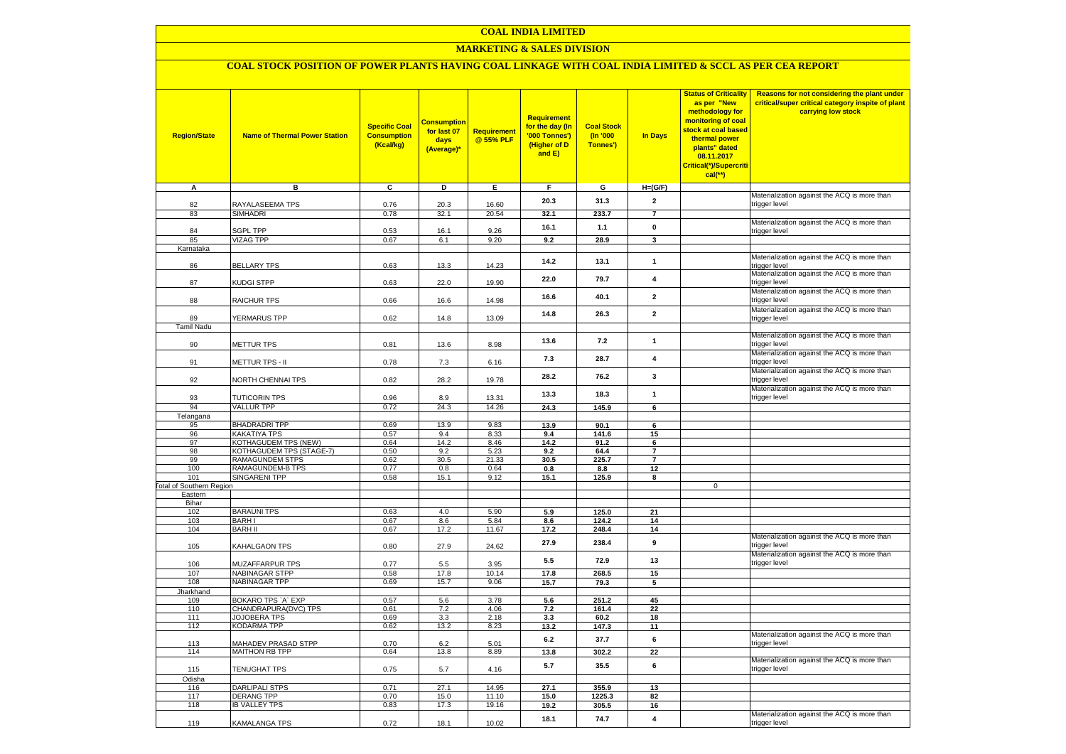### **MARKETING & SALES DIVISION**

# **COAL STOCK POSITION OF POWER PLANTS HAVING COAL LINKAGE WITH COAL INDIA LIMITED & SCCL AS PER CEA REPORT**

| <b>Region/State</b>                        | <b>Name of Thermal Power Station</b>          | <b>Specific Coal</b><br><b>Consumption</b><br>(Kcal/kg) | <b>Consumption</b><br>for last 07<br>days<br>(Average)* | <b>Requirement</b><br>@ 55% PLF | <b>Requirement</b><br>for the day (In<br>'000 Tonnes')<br>(Higher of D<br>and E) | <b>Coal Stock</b><br>$($ ln '000<br>Tonnes') | In Days                 | <b>Status of Criticality</b><br>as per "New<br>methodology for<br>monitoring of coal<br>stock at coal based<br>thermal power<br>plants" dated<br>08.11.2017<br>Critical(*)/Supercriti<br>$cal$ (**) | Reasons for not considering the plant under<br>critical/super critical category inspite of plant<br>carrying low stock |
|--------------------------------------------|-----------------------------------------------|---------------------------------------------------------|---------------------------------------------------------|---------------------------------|----------------------------------------------------------------------------------|----------------------------------------------|-------------------------|-----------------------------------------------------------------------------------------------------------------------------------------------------------------------------------------------------|------------------------------------------------------------------------------------------------------------------------|
| A                                          | в                                             | c                                                       | D                                                       | Е                               | F.                                                                               | G                                            | $H=(G/F)$               |                                                                                                                                                                                                     |                                                                                                                        |
| 82                                         | RAYALASEEMA TPS                               | 0.76                                                    | 20.3                                                    | 16.60                           | 20.3                                                                             | 31.3                                         | $\mathbf{2}$            |                                                                                                                                                                                                     | Materialization against the ACQ is more than                                                                           |
| 83                                         | SIMHADRI                                      | 0.78                                                    | 32.1                                                    | 20.54                           | 32.1                                                                             | 233.7                                        | $\overline{7}$          |                                                                                                                                                                                                     | trigger level                                                                                                          |
|                                            |                                               |                                                         |                                                         |                                 | 16.1                                                                             | 1.1                                          | $\pmb{0}$               |                                                                                                                                                                                                     | Materialization against the ACQ is more than                                                                           |
| 84                                         | <b>SGPL TPP</b>                               | 0.53                                                    | 16.1                                                    | 9.26                            |                                                                                  |                                              |                         |                                                                                                                                                                                                     | trigger level                                                                                                          |
| 85<br>Karnataka                            | <b>VIZAG TPP</b>                              | 0.67                                                    | 6.1                                                     | 9.20                            | 9.2                                                                              | 28.9                                         | $\mathbf{3}$            |                                                                                                                                                                                                     |                                                                                                                        |
|                                            |                                               |                                                         |                                                         |                                 |                                                                                  |                                              |                         |                                                                                                                                                                                                     | Materialization against the ACQ is more than                                                                           |
| 86                                         | <b>BELLARY TPS</b>                            | 0.63                                                    | 13.3                                                    | 14.23                           | 14.2                                                                             | 13.1                                         | $\mathbf{1}$            |                                                                                                                                                                                                     | trigger level                                                                                                          |
| 87                                         | KUDGI STPP                                    | 0.63                                                    | 22.0                                                    | 19.90                           | 22.0                                                                             | 79.7                                         | 4                       |                                                                                                                                                                                                     | Materialization against the ACQ is more than<br>trigger level                                                          |
| 88                                         | <b>RAICHUR TPS</b>                            | 0.66                                                    | 16.6                                                    | 14.98                           | 16.6                                                                             | 40.1                                         | $\overline{2}$          |                                                                                                                                                                                                     | Materialization against the ACQ is more than<br>trigger level                                                          |
| 89                                         | <b>YERMARUS TPP</b>                           | 0.62                                                    | 14.8                                                    | 13.09                           | 14.8                                                                             | 26.3                                         | $\overline{2}$          |                                                                                                                                                                                                     | Materialization against the ACQ is more than                                                                           |
| <b>Tamil Nadu</b>                          |                                               |                                                         |                                                         |                                 |                                                                                  |                                              |                         |                                                                                                                                                                                                     | trigger level                                                                                                          |
| 90                                         | <b>METTUR TPS</b>                             | 0.81                                                    | 13.6                                                    | 8.98                            | 13.6                                                                             | 7.2                                          | $\mathbf{1}$            |                                                                                                                                                                                                     | Materialization against the ACQ is more than<br>trigger level                                                          |
| 91                                         | METTUR TPS - II                               | 0.78                                                    | 7.3                                                     | 6.16                            | 7.3                                                                              | 28.7                                         | 4                       |                                                                                                                                                                                                     | Materialization against the ACQ is more than<br>trigger level                                                          |
| 92                                         | <b>VORTH CHENNAI TPS</b>                      | 0.82                                                    | 28.2                                                    | 19.78                           | 28.2                                                                             | 76.2                                         | 3                       |                                                                                                                                                                                                     | Materialization against the ACQ is more than<br>trigger level                                                          |
| 93                                         | <b>TUTICORIN TPS</b>                          | 0.96                                                    | 8.9                                                     | 13.31                           | 13.3                                                                             | 18.3                                         | $\mathbf{1}$            |                                                                                                                                                                                                     | Materialization against the ACQ is more than<br>trigger level                                                          |
| 94                                         | <b>VALLUR TPP</b>                             | 0.72                                                    | 24.3                                                    | 14.26                           | 24.3                                                                             | 145.9                                        | 6                       |                                                                                                                                                                                                     |                                                                                                                        |
| Telangana                                  |                                               |                                                         |                                                         |                                 |                                                                                  |                                              |                         |                                                                                                                                                                                                     |                                                                                                                        |
| 95                                         | <b>BHADRADRI TPP</b>                          | 0.69                                                    | 13.9                                                    | 9.83                            | 13.9                                                                             | 90.1                                         | 6                       |                                                                                                                                                                                                     |                                                                                                                        |
| 96<br>97                                   | KAKATIYA TPS<br>KOTHAGUDEM TPS (NEW)          | 0.57<br>0.64                                            | 9.4<br>14.2                                             | 8.33<br>8.46                    | 9.4<br>14.2                                                                      | 141.6<br>91.2                                | 15<br>6                 |                                                                                                                                                                                                     |                                                                                                                        |
| 98                                         | KOTHAGUDEM TPS (STAGE-7)                      | 0.50                                                    | 9.2                                                     | 5.23                            | 9.2                                                                              | 64.4                                         | $\overline{7}$          |                                                                                                                                                                                                     |                                                                                                                        |
| 99                                         | <b>RAMAGUNDEM STPS</b>                        | 0.62                                                    | 30.5                                                    | 21.33                           | 30.5                                                                             | 225.7                                        | $\overline{7}$          |                                                                                                                                                                                                     |                                                                                                                        |
| 100                                        | <b>RAMAGUNDEM-B TPS</b>                       | 0.77                                                    | 0.8                                                     | 0.64                            | 0.8                                                                              | 8.8                                          | 12                      |                                                                                                                                                                                                     |                                                                                                                        |
| 101                                        | <b>SINGARENI TPP</b>                          | 0.58                                                    | 15.1                                                    | 9.12                            | 15.1                                                                             | 125.9                                        | 8                       |                                                                                                                                                                                                     |                                                                                                                        |
| <b>Fotal of Southern Region</b><br>Eastern |                                               |                                                         |                                                         |                                 |                                                                                  |                                              |                         | $\mathbf 0$                                                                                                                                                                                         |                                                                                                                        |
| Bihar                                      |                                               |                                                         |                                                         |                                 |                                                                                  |                                              |                         |                                                                                                                                                                                                     |                                                                                                                        |
| 102                                        | <b>BARAUNI TPS</b>                            | 0.63                                                    | 4.0                                                     | 5.90                            | 5.9                                                                              | 125.0                                        | 21                      |                                                                                                                                                                                                     |                                                                                                                        |
| 103                                        | <b>BARHI</b>                                  | 0.67                                                    | 8.6                                                     | 5.84                            | 8.6                                                                              | 124.2                                        | 14                      |                                                                                                                                                                                                     |                                                                                                                        |
| 104                                        | <b>BARH II</b>                                | 0.67                                                    | 17.2                                                    | 11.67                           | 17.2                                                                             | 248.4                                        | 14                      |                                                                                                                                                                                                     |                                                                                                                        |
| 105                                        | KAHALGAON TPS                                 | 0.80                                                    | 27.9                                                    | 24.62                           | 27.9                                                                             | 238.4                                        | 9                       |                                                                                                                                                                                                     | Materialization against the ACQ is more than<br>trigger level<br>Materialization against the ACQ is more than          |
| 106                                        | MUZAFFARPUR TPS                               | 0.77                                                    | 5.5                                                     | 3.95                            | 5.5                                                                              | 72.9                                         | 13                      |                                                                                                                                                                                                     | trigger level                                                                                                          |
| 107<br>108                                 | <b>NABINAGAR STPP</b><br><b>NABINAGAR TPP</b> | 0.58<br>0.69                                            | 17.8<br>15.7                                            | 10.14<br>9.06                   | 17.8<br>15.7                                                                     | 268.5<br>79.3                                | 15<br>5                 |                                                                                                                                                                                                     |                                                                                                                        |
| Jharkhand                                  |                                               |                                                         |                                                         |                                 |                                                                                  |                                              |                         |                                                                                                                                                                                                     |                                                                                                                        |
| 109                                        | BOKARO TPS `A` EXP                            | 0.57                                                    | 5.6                                                     | 3.78                            | 5.6                                                                              | 251.2                                        | 45                      |                                                                                                                                                                                                     |                                                                                                                        |
| 110                                        | CHANDRAPURA(DVC) TPS                          | 0.61                                                    | 7.2                                                     | 4.06                            | 7.2                                                                              | 161.4                                        | 22                      |                                                                                                                                                                                                     |                                                                                                                        |
| 111                                        | <b>JOJOBERA TPS</b>                           | 0.69                                                    | 3.3                                                     | 2.18                            | 3.3                                                                              | 60.2                                         | 18                      |                                                                                                                                                                                                     |                                                                                                                        |
| 112                                        | KODARMA TPP                                   | 0.62                                                    | 13.2                                                    | 8.23                            | 13.2                                                                             | 147.3                                        | 11                      |                                                                                                                                                                                                     | Materialization against the ACQ is more than                                                                           |
| 113                                        | MAHADEV PRASAD STPP                           | 0.70                                                    | 6.2                                                     | 5.01                            | $6.2\,$                                                                          | 37.7                                         | 6                       |                                                                                                                                                                                                     | trigger level                                                                                                          |
| 114                                        | <b>MAITHON RB TPP</b>                         | 0.64                                                    | 13.8                                                    | 8.89                            | 13.8                                                                             | 302.2                                        | 22                      |                                                                                                                                                                                                     | Materialization against the ACQ is more than                                                                           |
| 115                                        | TENUGHAT TPS                                  | 0.75                                                    | 5.7                                                     | 4.16                            | 5.7                                                                              | 35.5                                         | 6                       |                                                                                                                                                                                                     | trigger level                                                                                                          |
| Odisha<br>116                              | <b>DARLIPALI STPS</b>                         | 0.71                                                    | 27.1                                                    | 14.95                           | 27.1                                                                             | 355.9                                        | 13                      |                                                                                                                                                                                                     |                                                                                                                        |
| 117                                        | <b>DERANG TPP</b>                             | 0.70                                                    | 15.0                                                    | 11.10                           | 15.0                                                                             | 1225.3                                       | 82                      |                                                                                                                                                                                                     |                                                                                                                        |
| 118                                        | <b>IB VALLEY TPS</b>                          | 0.83                                                    | 17.3                                                    | 19.16                           | 19.2                                                                             | 305.5                                        | 16                      |                                                                                                                                                                                                     |                                                                                                                        |
|                                            |                                               |                                                         |                                                         |                                 |                                                                                  |                                              | $\overline{\mathbf{4}}$ |                                                                                                                                                                                                     | Materialization against the ACQ is more than                                                                           |
| 119                                        | KAMALANGA TPS                                 | 0.72                                                    | 18.1                                                    | 10.02                           | 18.1                                                                             | 74.7                                         |                         |                                                                                                                                                                                                     | trigger level                                                                                                          |